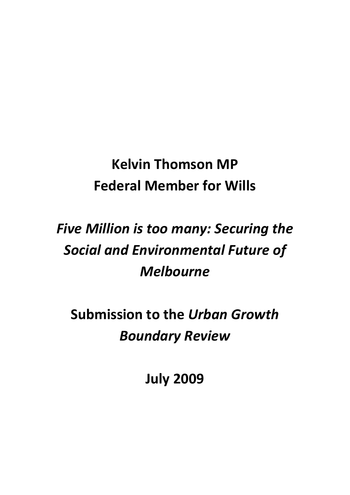## **Kelvin Thomson MP Federal Member for Wills**

# *Five Million is too many: Securing the Social and Environmental Future of Melbourne*

**Submission to the** *Urban Growth Boundary Review*

**July 2009**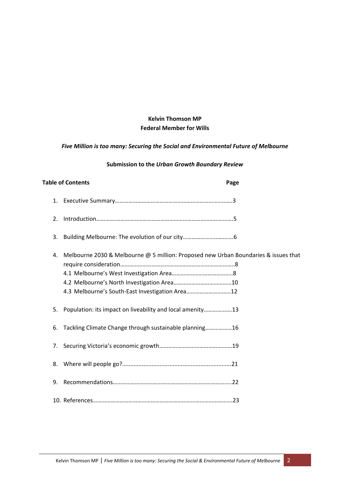### **Kelvin Thomson MP Federal Member for Wills**

## *Five Million is too many: Securing the Social and Environmental Future of Melbourne*

#### **Submission to the** *Urban Growth Boundary Review*

|    | <b>Table of Contents</b>                                                                                                               | Page |
|----|----------------------------------------------------------------------------------------------------------------------------------------|------|
| 1. |                                                                                                                                        |      |
| 2. |                                                                                                                                        |      |
| 3. |                                                                                                                                        |      |
| 4. | Melbourne 2030 & Melbourne @ 5 million: Proposed new Urban Boundaries & issues that<br>4.3 Melbourne's South-East Investigation Area12 |      |
| 5. | Population: its impact on liveability and local amenity13                                                                              |      |
| 6. | Tackling Climate Change through sustainable planning16                                                                                 |      |
| 7. |                                                                                                                                        |      |
| 8. |                                                                                                                                        |      |
| 9. |                                                                                                                                        |      |
|    |                                                                                                                                        |      |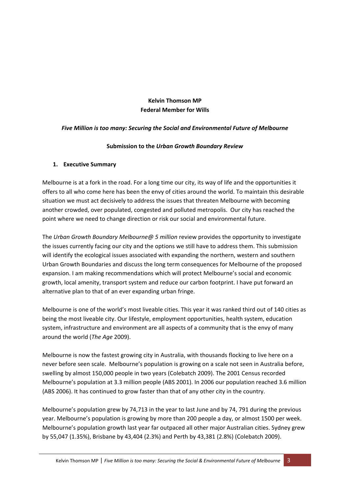## **Kelvin Thomson MP Federal Member for Wills**

#### *Five Million is too many: Securing the Social and Environmental Future of Melbourne*

#### **Submission to the** *Urban Growth Boundary Review*

#### **1. Executive Summary**

Melbourne is at a fork in the road. For a long time our city, its way of life and the opportunities it offers to all who come here has been the envy of cities around the world. To maintain this desirable situation we must act decisively to address the issues that threaten Melbourne with becoming another crowded, over populated, congested and polluted metropolis. Our city has reached the point where we need to change direction or risk our social and environmental future.

The *Urban Growth Boundary Melbourne@ 5 million* review provides the opportunity to investigate the issues currently facing our city and the options we still have to address them. This submission will identify the ecological issues associated with expanding the northern, western and southern Urban Growth Boundaries and discuss the long term consequences for Melbourne of the proposed expansion. I am making recommendations which will protect Melbourne's social and economic growth, local amenity, transport system and reduce our carbon footprint. I have put forward an alternative plan to that of an ever expanding urban fringe.

Melbourne is one of the world's most liveable cities. This year it was ranked third out of 140 cities as being the most liveable city. Our lifestyle, employment opportunities, health system, education system, infrastructure and environment are all aspects of a community that is the envy of many around the world (*The Age* 2009).

Melbourne is now the fastest growing city in Australia, with thousands flocking to live here on a never before seen scale. Melbourne's population is growing on a scale not seen in Australia before, swelling by almost 150,000 people in two years (Colebatch 2009). The 2001 Census recorded Melbourne's population at 3.3 million people (ABS 2001). In 2006 our population reached 3.6 million (ABS 2006). It has continued to grow faster than that of any other city in the country.

Melbourne's population grew by 74,713 in the year to last June and by 74, 791 during the previous year. Melbourne's population is growing by more than 200 people a day, or almost 1500 per week. Melbourne's population growth last year far outpaced all other major Australian cities. Sydney grew by 55,047 (1.35%), Brisbane by 43,404 (2.3%) and Perth by 43,381 (2.8%) (Colebatch 2009).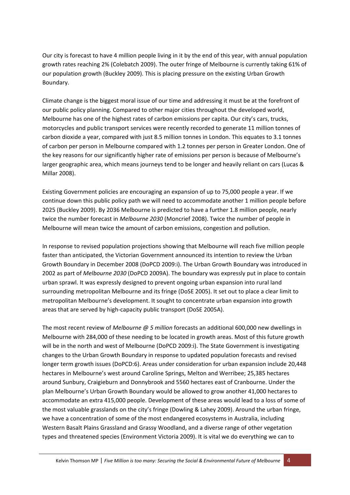Our city is forecast to have 4 million people living in it by the end of this year, with annual population growth rates reaching 2% (Colebatch 2009). The outer fringe of Melbourne is currently taking 61% of our population growth (Buckley 2009). This is placing pressure on the existing Urban Growth Boundary.

Climate change is the biggest moral issue of our time and addressing it must be at the forefront of our public policy planning. Compared to other major cities throughout the developed world, Melbourne has one of the highest rates of carbon emissions per capita. Our city's cars, trucks, motorcycles and public transport services were recently recorded to generate 11 million tonnes of carbon dioxide a year, compared with just 8.5 million tonnes in London. This equates to 3.1 tonnes of carbon per person in Melbourne compared with 1.2 tonnes per person in Greater London. One of the key reasons for our significantly higher rate of emissions per person is because of Melbourne's larger geographic area, which means journeys tend to be longer and heavily reliant on cars (Lucas & Millar 2008).

Existing Government policies are encouraging an expansion of up to 75,000 people a year. If we continue down this public policy path we will need to accommodate another 1 million people before 2025 (Buckley 2009). By 2036 Melbourne is predicted to have a further 1.8 million people, nearly twice the number forecast in *Melbourne 2030* (Moncrief 2008). Twice the number of people in Melbourne will mean twice the amount of carbon emissions, congestion and pollution.

In response to revised population projections showing that Melbourne will reach five million people faster than anticipated, the Victorian Government announced its intention to review the Urban Growth Boundary in December 2008 (DoPCD 2009:i). The Urban Growth Boundary was introduced in 2002 as part of *Melbourne 2030* (DoPCD 2009A). The boundary was expressly put in place to contain urban sprawl. It was expressly designed to prevent ongoing urban expansion into rural land surrounding metropolitan Melbourne and its fringe (DoSE 2005). It set out to place a clear limit to metropolitan Melbourne's development. It sought to concentrate urban expansion into growth areas that are served by high‐capacity public transport (DoSE 2005A).

The most recent review of *Melbourne @ 5 million* forecasts an additional 600,000 new dwellings in Melbourne with 284,000 of these needing to be located in growth areas. Most of this future growth will be in the north and west of Melbourne (DoPCD 2009:i). The State Government is investigating changes to the Urban Growth Boundary in response to updated population forecasts and revised longer term growth issues (DoPCD:6). Areas under consideration for urban expansion include 20,448 hectares in Melbourne's west around Caroline Springs, Melton and Werribee; 25,385 hectares around Sunbury, Craigieburn and Donnybrook and 5560 hectares east of Cranbourne. Under the plan Melbourne's Urban Growth Boundary would be allowed to grow another 41,000 hectares to accommodate an extra 415,000 people. Development of these areas would lead to a loss of some of the most valuable grasslands on the city's fringe (Dowling & Lahey 2009). Around the urban fringe, we have a concentration of some of the most endangered ecosystems in Australia, including Western Basalt Plains Grassland and Grassy Woodland, and a diverse range of other vegetation types and threatened species (Environment Victoria 2009). It is vital we do everything we can to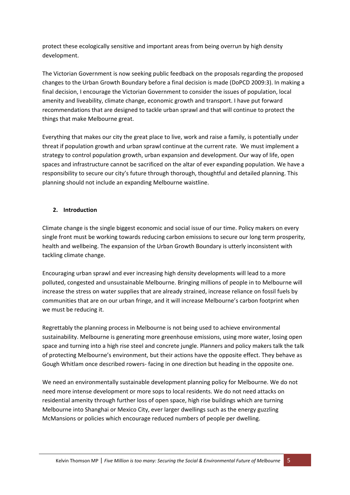protect these ecologically sensitive and important areas from being overrun by high density development.

The Victorian Government is now seeking public feedback on the proposals regarding the proposed changes to the Urban Growth Boundary before a final decision is made (DoPCD 2009:3). In making a final decision, I encourage the Victorian Government to consider the issues of population, local amenity and liveability, climate change, economic growth and transport. I have put forward recommendations that are designed to tackle urban sprawl and that will continue to protect the things that make Melbourne great.

Everything that makes our city the great place to live, work and raise a family, is potentially under threat if population growth and urban sprawl continue at the current rate. We must implement a strategy to control population growth, urban expansion and development. Our way of life, open spaces and infrastructure cannot be sacrificed on the altar of ever expanding population. We have a responsibility to secure our city's future through thorough, thoughtful and detailed planning. This planning should not include an expanding Melbourne waistline.

## **2. Introduction**

Climate change is the single biggest economic and social issue of our time. Policy makers on every single front must be working towards reducing carbon emissions to secure our long term prosperity, health and wellbeing. The expansion of the Urban Growth Boundary is utterly inconsistent with tackling climate change.

Encouraging urban sprawl and ever increasing high density developments will lead to a more polluted, congested and unsustainable Melbourne. Bringing millions of people in to Melbourne will increase the stress on water supplies that are already strained, increase reliance on fossil fuels by communities that are on our urban fringe, and it will increase Melbourne's carbon footprint when we must be reducing it.

Regrettably the planning process in Melbourne is not being used to achieve environmental sustainability. Melbourne is generating more greenhouse emissions, using more water, losing open space and turning into a high rise steel and concrete jungle. Planners and policy makers talk the talk of protecting Melbourne's environment, but their actions have the opposite effect. They behave as Gough Whitlam once described rowers‐ facing in one direction but heading in the opposite one.

We need an environmentally sustainable development planning policy for Melbourne. We do not need more intense development or more sops to local residents. We do not need attacks on residential amenity through further loss of open space, high rise buildings which are turning Melbourne into Shanghai or Mexico City, ever larger dwellings such as the energy guzzling McMansions or policies which encourage reduced numbers of people per dwelling.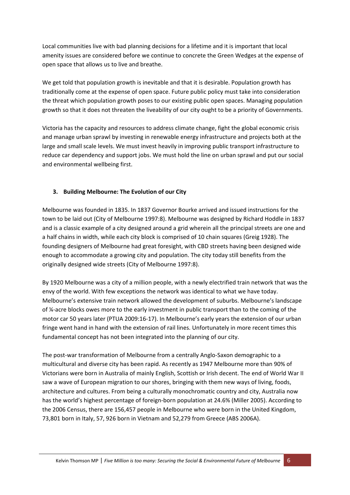Local communities live with bad planning decisions for a lifetime and it is important that local amenity issues are considered before we continue to concrete the Green Wedges at the expense of open space that allows us to live and breathe.

We get told that population growth is inevitable and that it is desirable. Population growth has traditionally come at the expense of open space. Future public policy must take into consideration the threat which population growth poses to our existing public open spaces. Managing population growth so that it does not threaten the liveability of our city ought to be a priority of Governments.

Victoria has the capacity and resources to address climate change, fight the global economic crisis and manage urban sprawl by investing in renewable energy infrastructure and projects both at the large and small scale levels. We must invest heavily in improving public transport infrastructure to reduce car dependency and support jobs. We must hold the line on urban sprawl and put our social and environmental wellbeing first.

## **3. Building Melbourne: The Evolution of our City**

Melbourne was founded in 1835. In 1837 Governor Bourke arrived and issued instructions for the town to be laid out (City of Melbourne 1997:8). Melbourne was designed by Richard Hoddle in 1837 and is a classic example of a city designed around a grid wherein all the principal streets are one and a half chains in width, while each city block is comprised of 10 chain squares (Greig 1928). The founding designers of Melbourne had great foresight, with CBD streets having been designed wide enough to accommodate a growing city and population. The city today still benefits from the originally designed wide streets (City of Melbourne 1997:8).

By 1920 Melbourne was a city of a million people, with a newly electrified train network that was the envy of the world. With few exceptions the network was identical to what we have today. Melbourne's extensive train network allowed the development of suburbs. Melbourne's landscape of ¼‐acre blocks owes more to the early investment in public transport than to the coming of the motor car 50 years later (PTUA 2009:16‐17). In Melbourne's early years the extension of our urban fringe went hand in hand with the extension of rail lines. Unfortunately in more recent times this fundamental concept has not been integrated into the planning of our city.

The post‐war transformation of Melbourne from a centrally Anglo‐Saxon demographic to a multicultural and diverse city has been rapid. As recently as 1947 Melbourne more than 90% of Victorians were born in Australia of mainly English, Scottish or Irish decent. The end of World War II saw a wave of European migration to our shores, bringing with them new ways of living, foods, architecture and cultures. From being a culturally monochromatic country and city, Australia now has the world's highest percentage of foreign-born population at 24.6% (Miller 2005). According to the 2006 Census, there are 156,457 people in Melbourne who were born in the United Kingdom, 73,801 born in Italy, 57, 926 born in Vietnam and 52,279 from Greece (ABS 2006A).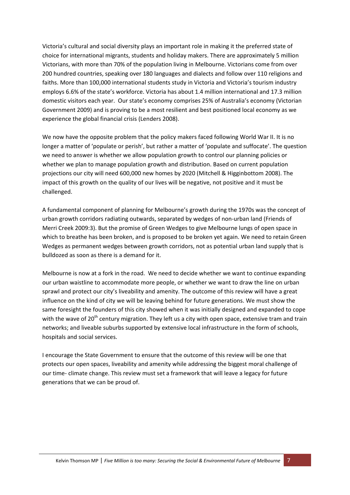Victoria's cultural and social diversity plays an important role in making it the preferred state of choice for international migrants, students and holiday makers. There are approximately 5 million Victorians, with more than 70% of the population living in Melbourne. Victorians come from over 200 hundred countries, speaking over 180 languages and dialects and follow over 110 religions and faiths. More than 100,000 international students study in Victoria and Victoria's tourism industry employs 6.6% of the state's workforce. Victoria has about 1.4 million international and 17.3 million domestic visitors each year. Our state's economy comprises 25% of Australia's economy (Victorian Government 2009) and is proving to be a most resilient and best positioned local economy as we experience the global financial crisis (Lenders 2008).

We now have the opposite problem that the policy makers faced following World War II. It is no longer a matter of 'populate or perish', but rather a matter of 'populate and suffocate'. The question we need to answer is whether we allow population growth to control our planning policies or whether we plan to manage population growth and distribution. Based on current population projections our city will need 600,000 new homes by 2020 (Mitchell & Higginbottom 2008). The impact of this growth on the quality of our lives will be negative, not positive and it must be challenged.

A fundamental component of planning for Melbourne's growth during the 1970s was the concept of urban growth corridors radiating outwards, separated by wedges of non‐urban land (Friends of Merri Creek 2009:3). But the promise of Green Wedges to give Melbourne lungs of open space in which to breathe has been broken, and is proposed to be broken yet again. We need to retain Green Wedges as permanent wedges between growth corridors, not as potential urban land supply that is bulldozed as soon as there is a demand for it.

Melbourne is now at a fork in the road. We need to decide whether we want to continue expanding our urban waistline to accommodate more people, or whether we want to draw the line on urban sprawl and protect our city's liveability and amenity. The outcome of this review will have a great influence on the kind of city we will be leaving behind for future generations. We must show the same foresight the founders of this city showed when it was initially designed and expanded to cope with the wave of  $20^{th}$  century migration. They left us a city with open space, extensive tram and train networks; and liveable suburbs supported by extensive local infrastructure in the form of schools, hospitals and social services.

I encourage the State Government to ensure that the outcome of this review will be one that protects our open spaces, liveability and amenity while addressing the biggest moral challenge of our time- climate change. This review must set a framework that will leave a legacy for future generations that we can be proud of.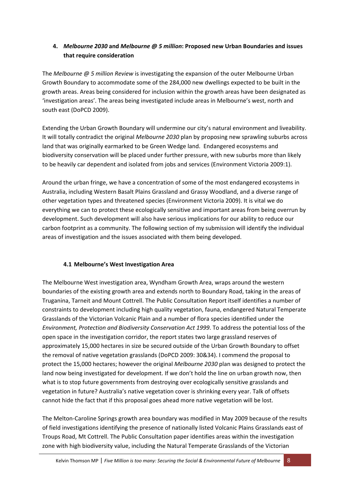## **4.** *Melbourne 2030* **and** *Melbourne @ 5 million***: Proposed new Urban Boundaries and issues that require consideration**

The *Melbourne @ 5 million Review* is investigating the expansion of the outer Melbourne Urban Growth Boundary to accommodate some of the 284,000 new dwellings expected to be built in the growth areas. Areas being considered for inclusion within the growth areas have been designated as 'investigation areas'. The areas being investigated include areas in Melbourne's west, north and south east (DoPCD 2009).

Extending the Urban Growth Boundary will undermine our city's natural environment and liveability. It will totally contradict the original *Melbourne 2030* plan by proposing new sprawling suburbs across land that was originally earmarked to be Green Wedge land. Endangered ecosystems and biodiversity conservation will be placed under further pressure, with new suburbs more than likely to be heavily car dependent and isolated from jobs and services (Environment Victoria 2009:1).

Around the urban fringe, we have a concentration of some of the most endangered ecosystems in Australia, including Western Basalt Plains Grassland and Grassy Woodland, and a diverse range of other vegetation types and threatened species (Environment Victoria 2009). It is vital we do everything we can to protect these ecologically sensitive and important areas from being overrun by development. Such development will also have serious implications for our ability to reduce our carbon footprint as a community. The following section of my submission will identify the individual areas of investigation and the issues associated with them being developed.

## **4.1 Melbourne's West Investigation Area**

The Melbourne West investigation area, Wyndham Growth Area, wraps around the western boundaries of the existing growth area and extends north to Boundary Road, taking in the areas of Truganina, Tarneit and Mount Cottrell. The Public Consultation Report itself identifies a number of constraints to development including high quality vegetation, fauna, endangered Natural Temperate Grasslands of the Victorian Volcanic Plain and a number of flora species identified under the *Environment, Protection and Biodiversity Conservation Act 1999*. To address the potential loss of the open space in the investigation corridor, the report states two large grassland reserves of approximately 15,000 hectares in size be secured outside of the Urban Growth Boundary to offset the removal of native vegetation grasslands (DoPCD 2009: 30&34). I commend the proposal to protect the 15,000 hectares; however the original *Melbourne 2030* plan was designed to protect the land now being investigated for development. If we don't hold the line on urban growth now, then what is to stop future governments from destroying over ecologically sensitive grasslands and vegetation in future? Australia's native vegetation cover is shrinking every year. Talk of offsets cannot hide the fact that if this proposal goes ahead more native vegetation will be lost.

The Melton‐Caroline Springs growth area boundary was modified in May 2009 because of the results of field investigations identifying the presence of nationally listed Volcanic Plains Grasslands east of Troups Road, Mt Cottrell. The Public Consultation paper identifies areas within the investigation zone with high biodiversity value, including the Natural Temperate Grasslands of the Victorian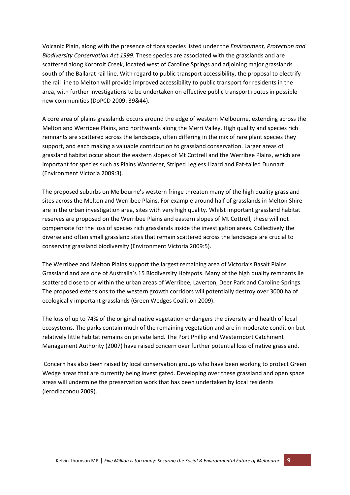Volcanic Plain, along with the presence of flora species listed under the *Environment, Protection and Biodiversity Conservation Act 1999.* These species are associated with the grasslands and are scattered along Kororoit Creek, located west of Caroline Springs and adjoining major grasslands south of the Ballarat rail line. With regard to public transport accessibility, the proposal to electrify the rail line to Melton will provide improved accessibility to public transport for residents in the area, with further investigations to be undertaken on effective public transport routes in possible new communities (DoPCD 2009: 39&44).

A core area of plains grasslands occurs around the edge of western Melbourne, extending across the Melton and Werribee Plains, and northwards along the Merri Valley. High quality and species rich remnants are scattered across the landscape, often differing in the mix of rare plant species they support, and each making a valuable contribution to grassland conservation. Larger areas of grassland habitat occur about the eastern slopes of Mt Cottrell and the Werribee Plains, which are important for species such as Plains Wanderer, Striped Legless Lizard and Fat‐tailed Dunnart (Environment Victoria 2009:3).

The proposed suburbs on Melbourne's western fringe threaten many of the high quality grassland sites across the Melton and Werribee Plains. For example around half of grasslands in Melton Shire are in the urban investigation area, sites with very high quality. Whilst important grassland habitat reserves are proposed on the Werribee Plains and eastern slopes of Mt Cottrell, these will not compensate for the loss of species rich grasslands inside the investigation areas. Collectively the diverse and often small grassland sites that remain scattered across the landscape are crucial to conserving grassland biodiversity (Environment Victoria 2009:5).

The Werribee and Melton Plains support the largest remaining area of Victoria's Basalt Plains Grassland and are one of Australia's 15 Biodiversity Hotspots. Many of the high quality remnants lie scattered close to or within the urban areas of Werribee, Laverton, Deer Park and Caroline Springs. The proposed extensions to the western growth corridors will potentially destroy over 3000 ha of ecologically important grasslands (Green Wedges Coalition 2009).

The loss of up to 74% of the original native vegetation endangers the diversity and health of local ecosystems. The parks contain much of the remaining vegetation and are in moderate condition but relatively little habitat remains on private land. The Port Phillip and Westernport Catchment Management Authority (2007) have raised concern over further potential loss of native grassland.

Concern has also been raised by local conservation groups who have been working to protect Green Wedge areas that are currently being investigated. Developing over these grassland and open space areas will undermine the preservation work that has been undertaken by local residents (Ierodiaconou 2009).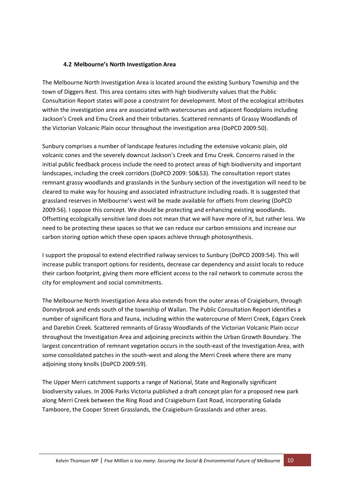#### **4.2 Melbourne's North Investigation Area**

The Melbourne North Investigation Area is located around the existing Sunbury Township and the town of Diggers Rest. This area contains sites with high biodiversity values that the Public Consultation Report states will pose a constraint for development. Most of the ecological attributes within the investigation area are associated with watercourses and adjacent floodplains including Jackson's Creek and Emu Creek and their tributaries. Scattered remnants of Grassy Woodlands of the Victorian Volcanic Plain occur throughout the investigation area (DoPCD 2009:50).

Sunbury comprises a number of landscape features including the extensive volcanic plain, old volcanic cones and the severely downcut Jackson's Creek and Emu Creek. Concerns raised in the initial public feedback process include the need to protect areas of high biodiversity and important landscapes, including the creek corridors (DoPCD 2009: 50&53). The consultation report states remnant grassy woodlands and grasslands in the Sunbury section of the investigation will need to be cleared to make way for housing and associated infrastructure including roads. It is suggested that grassland reserves in Melbourne's west will be made available for offsets from clearing (DoPCD 2009:56). I oppose this concept. We should be protecting and enhancing existing woodlands. Offsetting ecologically sensitive land does not mean that we will have more of it, but rather less. We need to be protecting these spaces so that we can reduce our carbon emissions and increase our carbon storing option which these open spaces achieve through photosynthesis.

I support the proposal to extend electrified railway services to Sunbury (DoPCD 2009:54). This will increase public transport options for residents, decrease car dependency and assist locals to reduce their carbon footprint, giving them more efficient access to the rail network to commute across the city for employment and social commitments.

The Melbourne North Investigation Area also extends from the outer areas of Craigieburn, through Donnybrook and ends south of the township of Wallan. The Public Consultation Report identifies a number of significant flora and fauna, including within the watercourse of Merri Creek, Edgars Creek and Darebin Creek. Scattered remnants of Grassy Woodlands of the Victorian Volcanic Plain occur throughout the Investigation Area and adjoining precincts within the Urban Growth Boundary. The largest concentration of remnant vegetation occurs in the south‐east of the Investigation Area, with some consolidated patches in the south-west and along the Merri Creek where there are many adjoining stony knolls (DoPCD 2009:59).

The Upper Merri catchment supports a range of National, State and Regionally significant biodiversity values. In 2006 Parks Victoria published a draft concept plan for a proposed new park along Merri Creek between the Ring Road and Craigieburn East Road, incorporating Galada Tamboore, the Cooper Street Grasslands, the Craigieburn Grasslands and other areas.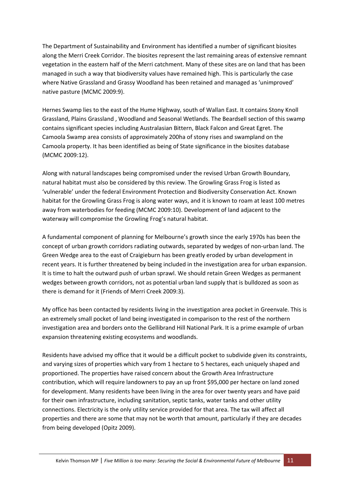The Department of Sustainability and Environment has identified a number of significant biosites along the Merri Creek Corridor. The biosites represent the last remaining areas of extensive remnant vegetation in the eastern half of the Merri catchment. Many of these sites are on land that has been managed in such a way that biodiversity values have remained high. This is particularly the case where Native Grassland and Grassy Woodland has been retained and managed as 'unimproved' native pasture (MCMC 2009:9).

Hernes Swamp lies to the east of the Hume Highway, south of Wallan East. It contains Stony Knoll Grassland, Plains Grassland , Woodland and Seasonal Wetlands. The Beardsell section of this swamp contains significant species including Australasian Bittern, Black Falcon and Great Egret. The Camoola Swamp area consists of approximately 200ha of stony rises and swampland on the Camoola property. It has been identified as being of State significance in the biosites database (MCMC 2009:12).

Along with natural landscapes being compromised under the revised Urban Growth Boundary, natural habitat must also be considered by this review. The Growling Grass Frog is listed as 'vulnerable' under the federal Environment Protection and Biodiversity Conservation Act. Known habitat for the Growling Grass Frog is along water ways, and it is known to roam at least 100 metres away from waterbodies for feeding (MCMC 2009:10). Development of land adjacent to the waterway will compromise the Growling Frog's natural habitat.

A fundamental component of planning for Melbourne's growth since the early 1970s has been the concept of urban growth corridors radiating outwards, separated by wedges of non-urban land. The Green Wedge area to the east of Craigieburn has been greatly eroded by urban development in recent years. It is further threatened by being included in the investigation area for urban expansion. It is time to halt the outward push of urban sprawl. We should retain Green Wedges as permanent wedges between growth corridors, not as potential urban land supply that is bulldozed as soon as there is demand for it (Friends of Merri Creek 2009:3).

My office has been contacted by residents living in the investigation area pocket in Greenvale. This is an extremely small pocket of land being investigated in comparison to the rest of the northern investigation area and borders onto the Gellibrand Hill National Park. It is a prime example of urban expansion threatening existing ecosystems and woodlands.

Residents have advised my office that it would be a difficult pocket to subdivide given its constraints, and varying sizes of properties which vary from 1 hectare to 5 hectares, each uniquely shaped and proportioned. The properties have raised concern about the Growth Area Infrastructure contribution, which will require landowners to pay an up front \$95,000 per hectare on land zoned for development. Many residents have been living in the area for over twenty years and have paid for their own infrastructure, including sanitation, septic tanks, water tanks and other utility connections. Electricity is the only utility service provided for that area. The tax will affect all properties and there are some that may not be worth that amount, particularly if they are decades from being developed (Opitz 2009).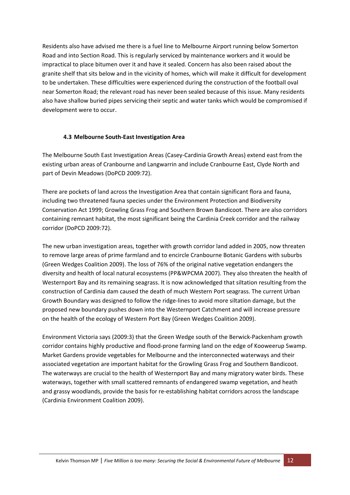Residents also have advised me there is a fuel line to Melbourne Airport running below Somerton Road and into Section Road. This is regularly serviced by maintenance workers and it would be impractical to place bitumen over it and have it sealed. Concern has also been raised about the granite shelf that sits below and in the vicinity of homes, which will make it difficult for development to be undertaken. These difficulties were experienced during the construction of the football oval near Somerton Road; the relevant road has never been sealed because of this issue. Many residents also have shallow buried pipes servicing their septic and water tanks which would be compromised if development were to occur.

#### **4.3 Melbourne South‐East Investigation Area**

The Melbourne South East Investigation Areas (Casey‐Cardinia Growth Areas) extend east from the existing urban areas of Cranbourne and Langwarrin and include Cranbourne East, Clyde North and part of Devin Meadows (DoPCD 2009:72).

There are pockets of land across the Investigation Area that contain significant flora and fauna, including two threatened fauna species under the Environment Protection and Biodiversity Conservation Act 1999; Growling Grass Frog and Southern Brown Bandicoot. There are also corridors containing remnant habitat, the most significant being the Cardinia Creek corridor and the railway corridor (DoPCD 2009:72).

The new urban investigation areas, together with growth corridor land added in 2005, now threaten to remove large areas of prime farmland and to encircle Cranbourne Botanic Gardens with suburbs (Green Wedges Coalition 2009). The loss of 76% of the original native vegetation endangers the diversity and health of local natural ecosystems (PP&WPCMA 2007). They also threaten the health of Westernport Bay and its remaining seagrass. It is now acknowledged that siltation resulting from the construction of Cardinia dam caused the death of much Western Port seagrass. The current Urban Growth Boundary was designed to follow the ridge‐lines to avoid more siltation damage, but the proposed new boundary pushes down into the Westernport Catchment and will increase pressure on the health of the ecology of Western Port Bay (Green Wedges Coalition 2009).

Environment Victoria says (2009:3) that the Green Wedge south of the Berwick‐Packenham growth corridor contains highly productive and flood‐prone farming land on the edge of Kooweerup Swamp. Market Gardens provide vegetables for Melbourne and the interconnected waterways and their associated vegetation are important habitat for the Growling Grass Frog and Southern Bandicoot. The waterways are crucial to the health of Westernport Bay and many migratory water birds. These waterways, together with small scattered remnants of endangered swamp vegetation, and heath and grassy woodlands, provide the basis for re‐establishing habitat corridors across the landscape (Cardinia Environment Coalition 2009).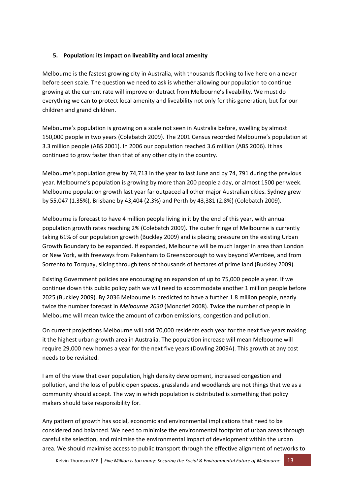## **5. Population: its impact on liveability and local amenity**

Melbourne is the fastest growing city in Australia, with thousands flocking to live here on a never before seen scale. The question we need to ask is whether allowing our population to continue growing at the current rate will improve or detract from Melbourne's liveability. We must do everything we can to protect local amenity and liveability not only for this generation, but for our children and grand children.

Melbourne's population is growing on a scale not seen in Australia before, swelling by almost 150,000 people in two years (Colebatch 2009). The 2001 Census recorded Melbourne's population at 3.3 million people (ABS 2001). In 2006 our population reached 3.6 million (ABS 2006). It has continued to grow faster than that of any other city in the country.

Melbourne's population grew by 74,713 in the year to last June and by 74, 791 during the previous year. Melbourne's population is growing by more than 200 people a day, or almost 1500 per week. Melbourne population growth last year far outpaced all other major Australian cities. Sydney grew by 55,047 (1.35%), Brisbane by 43,404 (2.3%) and Perth by 43,381 (2.8%) (Colebatch 2009).

Melbourne is forecast to have 4 million people living in it by the end of this year, with annual population growth rates reaching 2% (Colebatch 2009). The outer fringe of Melbourne is currently taking 61% of our population growth (Buckley 2009) and is placing pressure on the existing Urban Growth Boundary to be expanded. If expanded, Melbourne will be much larger in area than London or New York, with freeways from Pakenham to Greensborough to way beyond Werribee, and from Sorrento to Torquay, slicing through tens of thousands of hectares of prime land (Buckley 2009).

Existing Government policies are encouraging an expansion of up to 75,000 people a year. If we continue down this public policy path we will need to accommodate another 1 million people before 2025 (Buckley 2009). By 2036 Melbourne is predicted to have a further 1.8 million people, nearly twice the number forecast in *Melbourne 2030* (Moncrief 2008). Twice the number of people in Melbourne will mean twice the amount of carbon emissions, congestion and pollution.

On current projections Melbourne will add 70,000 residents each year for the next five years making it the highest urban growth area in Australia. The population increase will mean Melbourne will require 29,000 new homes a year for the next five years (Dowling 2009A). This growth at any cost needs to be revisited.

I am of the view that over population, high density development, increased congestion and pollution, and the loss of public open spaces, grasslands and woodlands are not things that we as a community should accept. The way in which population is distributed is something that policy makers should take responsibility for.

Any pattern of growth has social, economic and environmental implications that need to be considered and balanced. We need to minimise the environmental footprint of urban areas through careful site selection, and minimise the environmental impact of development within the urban area. We should maximise access to public transport through the effective alignment of networks to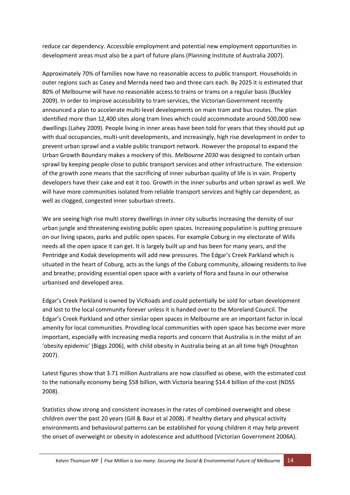reduce car dependency. Accessible employment and potential new employment opportunities in development areas must also be a part of future plans (Planning Institute of Australia 2007).

Approximately 70% of families now have no reasonable access to public transport. Households in outer regions such as Casey and Mernda need two and three cars each. By 2025 it is estimated that 80% of Melbourne will have no reasonable access to trains or trams on a regular basis (Buckley 2009). In order to improve accessibility to tram services, the Victorian Government recently announced a plan to accelerate multi‐level developments on main tram and bus routes. The plan identified more than 12,400 sites along tram lines which could accommodate around 500,000 new dwellings (Lahey 2009). People living in inner areas have been told for years that they should put up with dual occupancies, multi-unit developments, and increasingly, high rise development in order to prevent urban sprawl and a viable public transport network. However the proposal to expand the Urban Growth Boundary makes a mockery of this. *Melbourne 2030* was designed to contain urban sprawl by keeping people close to public transport services and other infrastructure. The extension of the growth zone means that the sacrificing of inner suburban quality of life is in vain. Property developers have their cake and eat it too. Growth in the inner suburbs and urban sprawl as well. We will have more communities isolated from reliable transport services and highly car dependent, as well as clogged, congested inner suburban streets.

We are seeing high rise multi storey dwellings in inner city suburbs increasing the density of our urban jungle and threatening existing public open spaces. Increasing population is putting pressure on our living spaces, parks and public open spaces. For example Coburg in my electorate of Wills needs all the open space it can get. It is largely built up and has been for many years, and the Pentridge and Kodak developments will add new pressures. The Edgar's Creek Parkland which is situated in the heart of Coburg, acts as the lungs of the Coburg community, allowing residents to live and breathe; providing essential open space with a variety of flora and fauna in our otherwise urbanised and developed area.

Edgar's Creek Parkland is owned by VicRoads and could potentially be sold for urban development and lost to the local community forever unless it is handed over to the Moreland Council. The Edgar's Creek Parkland and other similar open spaces in Melbourne are an important factor in local amenity for local communities. Providing local communities with open space has become ever more important, especially with increasing media reports and concern that Australia is in the midst of an 'obesity epidemic' (Biggs 2006), with child obesity in Australia being at an all time high (Houghton 2007).

Latest figures show that 3.71 million Australians are now classified as obese, with the estimated cost to the nationally economy being \$58 billion, with Victoria bearing \$14.4 billion of the cost (NDSS 2008).

Statistics show strong and consistent increases in the rates of combined overweight and obese children over the past 20 years (Gill & Baur et al 2008). If healthy dietary and physical activity environments and behavioural patterns can be established for young children it may help prevent the onset of overweight or obesity in adolescence and adulthood (Victorian Government 2006A).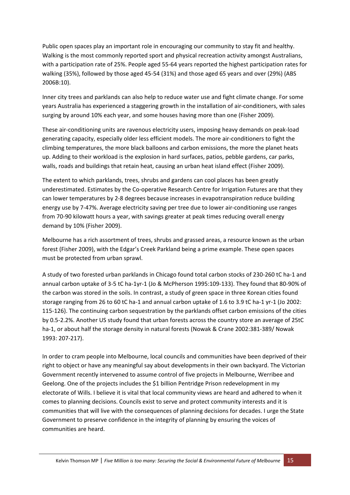Public open spaces play an important role in encouraging our community to stay fit and healthy. Walking is the most commonly reported sport and physical recreation activity amongst Australians, with a participation rate of 25%. People aged 55‐64 years reported the highest participation rates for walking (35%), followed by those aged 45‐54 (31%) and those aged 65 years and over (29%) (ABS 2006B:10).

Inner city trees and parklands can also help to reduce water use and fight climate change. For some years Australia has experienced a staggering growth in the installation of air‐conditioners, with sales surging by around 10% each year, and some houses having more than one (Fisher 2009).

These air‐conditioning units are ravenous electricity users, imposing heavy demands on peak‐load generating capacity, especially older less efficient models. The more air‐conditioners to fight the climbing temperatures, the more black balloons and carbon emissions, the more the planet heats up. Adding to their workload is the explosion in hard surfaces, patios, pebble gardens, car parks, walls, roads and buildings that retain heat, causing an urban heat island effect (Fisher 2009).

The extent to which parklands, trees, shrubs and gardens can cool places has been greatly underestimated. Estimates by the Co-operative Research Centre for Irrigation Futures are that they can lower temperatures by 2‐8 degrees because increases in evapotranspiration reduce building energy use by 7‐47%. Average electricity saving per tree due to lower air‐conditioning use ranges from 70‐90 kilowatt hours a year, with savings greater at peak times reducing overall energy demand by 10% (Fisher 2009).

Melbourne has a rich assortment of trees, shrubs and grassed areas, a resource known as the urban forest (Fisher 2009), with the Edgar's Creek Parkland being a prime example. These open spaces must be protected from urban sprawl.

A study of two forested urban parklands in Chicago found total carbon stocks of 230‐260 tC ha‐1 and annual carbon uptake of 3‐5 tC ha‐1yr‐1 (Jo & McPherson 1995:109‐133). They found that 80‐90% of the carbon was stored in the soils. In contrast, a study of green space in three Korean cities found storage ranging from 26 to 60 tC ha‐1 and annual carbon uptake of 1.6 to 3.9 tC ha‐1 yr‐1 (Jo 2002: 115-126). The continuing carbon sequestration by the parklands offset carbon emissions of the cities by 0.5‐2.2%. Another US study found that urban forests across the country store an average of 25tC ha-1, or about half the storage density in natural forests (Nowak & Crane 2002:381-389/ Nowak 1993: 207‐217).

In order to cram people into Melbourne, local councils and communities have been deprived of their right to object or have any meaningful say about developments in their own backyard. The Victorian Government recently intervened to assume control of five projects in Melbourne, Werribee and Geelong. One of the projects includes the \$1 billion Pentridge Prison redevelopment in my electorate of Wills. I believe it is vital that local community views are heard and adhered to when it comes to planning decisions. Councils exist to serve and protect community interests and it is communities that will live with the consequences of planning decisions for decades. I urge the State Government to preserve confidence in the integrity of planning by ensuring the voices of communities are heard.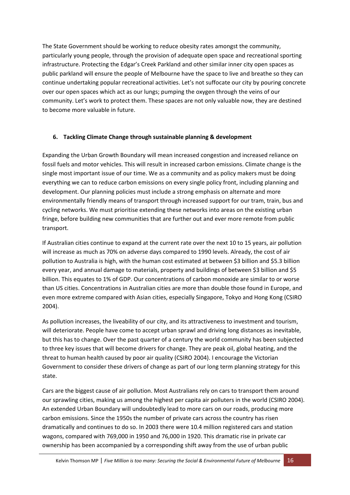The State Government should be working to reduce obesity rates amongst the community, particularly young people, through the provision of adequate open space and recreational sporting infrastructure. Protecting the Edgar's Creek Parkland and other similar inner city open spaces as public parkland will ensure the people of Melbourne have the space to live and breathe so they can continue undertaking popular recreational activities. Let's not suffocate our city by pouring concrete over our open spaces which act as our lungs; pumping the oxygen through the veins of our community. Let's work to protect them. These spaces are not only valuable now, they are destined to become more valuable in future.

#### **6. Tackling Climate Change through sustainable planning & development**

Expanding the Urban Growth Boundary will mean increased congestion and increased reliance on fossil fuels and motor vehicles. This will result in increased carbon emissions. Climate change is the single most important issue of our time. We as a community and as policy makers must be doing everything we can to reduce carbon emissions on every single policy front, including planning and development. Our planning policies must include a strong emphasis on alternate and more environmentally friendly means of transport through increased support for our tram, train, bus and cycling networks. We must prioritise extending these networks into areas on the existing urban fringe, before building new communities that are further out and ever more remote from public transport.

If Australian cities continue to expand at the current rate over the next 10 to 15 years, air pollution will increase as much as 70% on adverse days compared to 1990 levels. Already, the cost of air pollution to Australia is high, with the human cost estimated at between \$3 billion and \$5.3 billion every year, and annual damage to materials, property and buildings of between \$3 billion and \$5 billion. This equates to 1% of GDP. Our concentrations of carbon monoxide are similar to or worse than US cities. Concentrations in Australian cities are more than double those found in Europe, and even more extreme compared with Asian cities, especially Singapore, Tokyo and Hong Kong (CSIRO 2004).

As pollution increases, the liveability of our city, and its attractiveness to investment and tourism, will deteriorate. People have come to accept urban sprawl and driving long distances as inevitable, but this has to change. Over the past quarter of a century the world community has been subjected to three key issues that will become drivers for change. They are peak oil, global heating, and the threat to human health caused by poor air quality (CSIRO 2004). I encourage the Victorian Government to consider these drivers of change as part of our long term planning strategy for this state.

Cars are the biggest cause of air pollution. Most Australians rely on cars to transport them around our sprawling cities, making us among the highest per capita air polluters in the world (CSIRO 2004). An extended Urban Boundary will undoubtedly lead to more cars on our roads, producing more carbon emissions. Since the 1950s the number of private cars across the country has risen dramatically and continues to do so. In 2003 there were 10.4 million registered cars and station wagons, compared with 769,000 in 1950 and 76,000 in 1920. This dramatic rise in private car ownership has been accompanied by a corresponding shift away from the use of urban public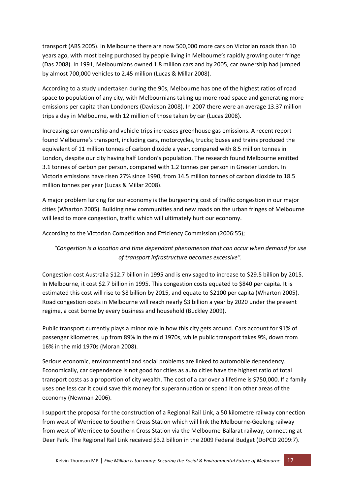transport (ABS 2005). In Melbourne there are now 500,000 more cars on Victorian roads than 10 years ago, with most being purchased by people living in Melbourne's rapidly growing outer fringe (Das 2008). In 1991, Melbournians owned 1.8 million cars and by 2005, car ownership had jumped by almost 700,000 vehicles to 2.45 million (Lucas & Millar 2008).

According to a study undertaken during the 90s, Melbourne has one of the highest ratios of road space to population of any city, with Melbournians taking up more road space and generating more emissions per capita than Londoners (Davidson 2008). In 2007 there were an average 13.37 million trips a day in Melbourne, with 12 million of those taken by car (Lucas 2008).

Increasing car ownership and vehicle trips increases greenhouse gas emissions. A recent report found Melbourne's transport, including cars, motorcycles, trucks; buses and trains produced the equivalent of 11 million tonnes of carbon dioxide a year, compared with 8.5 million tonnes in London, despite our city having half London's population. The research found Melbourne emitted 3.1 tonnes of carbon per person, compared with 1.2 tonnes per person in Greater London. In Victoria emissions have risen 27% since 1990, from 14.5 million tonnes of carbon dioxide to 18.5 million tonnes per year (Lucas & Millar 2008).

A major problem lurking for our economy is the burgeoning cost of traffic congestion in our major cities (Wharton 2005). Building new communities and new roads on the urban fringes of Melbourne will lead to more congestion, traffic which will ultimately hurt our economy.

According to the Victorian Competition and Efficiency Commission (2006:55);

## *"Congestion is a location and time dependant phenomenon that can occur when demand for use of transport infrastructure becomes excessive".*

Congestion cost Australia \$12.7 billion in 1995 and is envisaged to increase to \$29.5 billion by 2015. In Melbourne, it cost \$2.7 billion in 1995. This congestion costs equated to \$840 per capita. It is estimated this cost will rise to \$8 billion by 2015, and equate to \$2100 per capita (Wharton 2005). Road congestion costs in Melbourne will reach nearly \$3 billion a year by 2020 under the present regime, a cost borne by every business and household (Buckley 2009).

Public transport currently plays a minor role in how this city gets around. Cars account for 91% of passenger kilometres, up from 89% in the mid 1970s, while public transport takes 9%, down from 16% in the mid 1970s (Moran 2008).

Serious economic, environmental and social problems are linked to automobile dependency. Economically, car dependence is not good for cities as auto cities have the highest ratio of total transport costs as a proportion of city wealth. The cost of a car over a lifetime is \$750,000. If a family uses one less car it could save this money for superannuation or spend it on other areas of the economy (Newman 2006).

I support the proposal for the construction of a Regional Rail Link, a 50 kilometre railway connection from west of Werribee to Southern Cross Station which will link the Melbourne‐Geelong railway from west of Werribee to Southern Cross Station via the Melbourne‐Ballarat railway, connecting at Deer Park. The Regional Rail Link received \$3.2 billion in the 2009 Federal Budget (DoPCD 2009:7).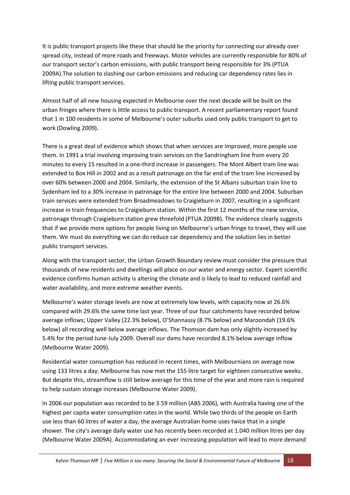It is public transport projects like these that should be the priority for connecting our already over spread city, instead of more roads and freeways. Motor vehicles are currently responsible for 80% of our transport sector's carbon emissions, with public transport being responsible for 3% (PTUA 2009A).The solution to slashing our carbon emissions and reducing car dependency rates lies in lifting public transport services.

Almost half of all new housing expected in Melbourne over the next decade will be built on the urban fringes where there is little access to public transport. A recent parliamentary report found that 1 in 100 residents in some of Melbourne's outer suburbs used only public transport to get to work (Dowling 2009).

There is a great deal of evidence which shows that when services are improved, more people use them. In 1991 a trial involving improving train services on the Sandringham line from every 20 minutes to every 15 resulted in a one‐third increase in passengers. The Mont Albert tram line was extended to Box Hill in 2002 and as a result patronage on the far end of the tram line increased by over 60% between 2000 and 2004. Similarly, the extension of the St Albans suburban train line to Sydenham led to a 30% increase in patronage for the entire line between 2000 and 2004. Suburban train services were extended from Broadmeadows to Craigieburn in 2007, resulting in a significant increase in train frequencies to Craigieburn station. Within the first 12 months of the new service, patronage through Craigieburn station grew threefold (PTUA 2009B). The evidence clearly suggests that if we provide more options for people living on Melbourne's urban fringe to travel, they will use them. We must do everything we can do reduce car dependency and the solution lies in better public transport services.

Along with the transport sector, the Urban Growth Boundary review must consider the pressure that thousands of new residents and dwellings will place on our water and energy sector. Expert scientific evidence confirms human activity is altering the climate and is likely to lead to reduced rainfall and water availability, and more extreme weather events.

Melbourne's water storage levels are now at extremely low levels, with capacity now at 26.6% compared with 29.6% the same time last year. Three of our four catchments have recorded below average inflows; Upper Valley (22.3% below), O'Shannassy (8.7% below) and Maroondah (19.6% below) all recording well below average inflows. The Thomson dam has only slightly increased by 5.4% for the period June‐July 2009. Overall our dams have recorded 8.1% below average inflow (Melbourne Water 2009).

Residential water consumption has reduced in recent times, with Melbournians on average now using 133 litres a day. Melbourne has now met the 155 litre target for eighteen consecutive weeks. But despite this, streamflow is still below average for this time of the year and more rain is required to help sustain storage increases (Melbourne Water 2009).

In 2006 our population was recorded to be 3.59 million (ABS 2006), with Australia having one of the highest per capita water consumption rates in the world. While two thirds of the people on Earth use less than 60 litres of water a day, the average Australian home uses twice that in a single shower. The city's average daily water use has recently been recorded at 1.040 million litres per day (Melbourne Water 2009A). Accommodating an ever increasing population will lead to more demand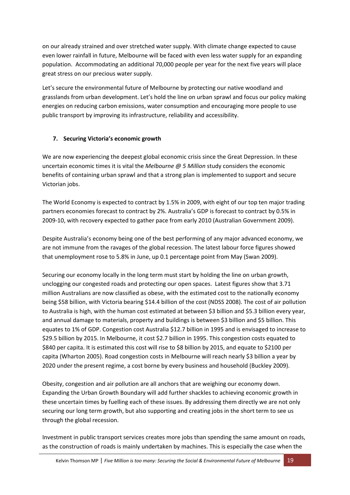on our already strained and over stretched water supply. With climate change expected to cause even lower rainfall in future, Melbourne will be faced with even less water supply for an expanding population. Accommodating an additional 70,000 people per year for the next five years will place great stress on our precious water supply.

Let's secure the environmental future of Melbourne by protecting our native woodland and grasslands from urban development. Let's hold the line on urban sprawl and focus our policy making energies on reducing carbon emissions, water consumption and encouraging more people to use public transport by improving its infrastructure, reliability and accessibility.

## **7. Securing Victoria's economic growth**

We are now experiencing the deepest global economic crisis since the Great Depression. In these uncertain economic times it is vital the *Melbourne @ 5 Million* study considers the economic benefits of containing urban sprawl and that a strong plan is implemented to support and secure Victorian jobs.

The World Economy is expected to contract by 1.5% in 2009, with eight of our top ten major trading partners economies forecast to contract by 2%. Australia's GDP is forecast to contract by 0.5% in 2009‐10, with recovery expected to gather pace from early 2010 (Australian Government 2009).

Despite Australia's economy being one of the best performing of any major advanced economy, we are not immune from the ravages of the global recession. The latest labour force figures showed that unemployment rose to 5.8% in June, up 0.1 percentage point from May (Swan 2009).

Securing our economy locally in the long term must start by holding the line on urban growth, unclogging our congested roads and protecting our open spaces. Latest figures show that 3.71 million Australians are now classified as obese, with the estimated cost to the nationally economy being \$58 billion, with Victoria bearing \$14.4 billion of the cost (NDSS 2008). The cost of air pollution to Australia is high, with the human cost estimated at between \$3 billion and \$5.3 billion every year, and annual damage to materials, property and buildings is between \$3 billion and \$5 billion. This equates to 1% of GDP. Congestion cost Australia \$12.7 billion in 1995 and is envisaged to increase to \$29.5 billion by 2015. In Melbourne, it cost \$2.7 billion in 1995. This congestion costs equated to \$840 per capita. It is estimated this cost will rise to \$8 billion by 2015, and equate to \$2100 per capita (Wharton 2005). Road congestion costs in Melbourne will reach nearly \$3 billion a year by 2020 under the present regime, a cost borne by every business and household (Buckley 2009).

Obesity, congestion and air pollution are all anchors that are weighing our economy down. Expanding the Urban Growth Boundary will add further shackles to achieving economic growth in these uncertain times by fuelling each of these issues. By addressing them directly we are not only securing our long term growth, but also supporting and creating jobs in the short term to see us through the global recession.

Investment in public transport services creates more jobs than spending the same amount on roads, as the construction of roads is mainly undertaken by machines. This is especially the case when the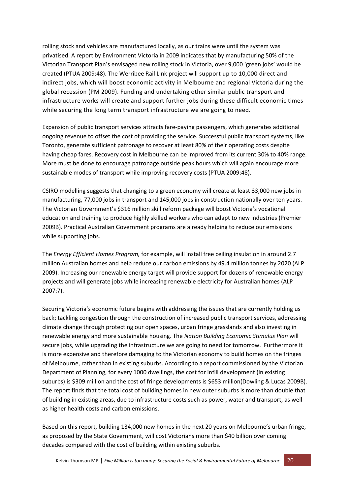rolling stock and vehicles are manufactured locally, as our trains were until the system was privatised. A report by Environment Victoria in 2009 indicates that by manufacturing 50% of the Victorian Transport Plan's envisaged new rolling stock in Victoria, over 9,000 'green jobs' would be created (PTUA 2009:48). The Werribee Rail Link project will support up to 10,000 direct and indirect jobs, which will boost economic activity in Melbourne and regional Victoria during the global recession (PM 2009). Funding and undertaking other similar public transport and infrastructure works will create and support further jobs during these difficult economic times while securing the long term transport infrastructure we are going to need.

Expansion of public transport services attracts fare‐paying passengers, which generates additional ongoing revenue to offset the cost of providing the service. Successful public transport systems, like Toronto, generate sufficient patronage to recover at least 80% of their operating costs despite having cheap fares. Recovery cost in Melbourne can be improved from its current 30% to 40% range. More must be done to encourage patronage outside peak hours which will again encourage more sustainable modes of transport while improving recovery costs (PTUA 2009:48).

CSIRO modelling suggests that changing to a green economy will create at least 33,000 new jobs in manufacturing, 77,000 jobs in transport and 145,000 jobs in construction nationally over ten years. The Victorian Government's \$316 million skill reform package will boost Victoria's vocational education and training to produce highly skilled workers who can adapt to new industries (Premier 2009B). Practical Australian Government programs are already helping to reduce our emissions while supporting jobs.

The *Energy Efficient Homes Program,* for example, will install free ceiling insulation in around 2.7 million Australian homes and help reduce our carbon emissions by 49.4 million tonnes by 2020 (ALP 2009). Increasing our renewable energy target will provide support for dozens of renewable energy projects and will generate jobs while increasing renewable electricity for Australian homes (ALP 2007:7).

Securing Victoria's economic future begins with addressing the issues that are currently holding us back; tackling congestion through the construction of increased public transport services, addressing climate change through protecting our open spaces, urban fringe grasslands and also investing in renewable energy and more sustainable housing. The *Nation Building Economic Stimulus Plan* will secure jobs, while upgrading the infrastructure we are going to need for tomorrow. Furthermore it is more expensive and therefore damaging to the Victorian economy to build homes on the fringes of Melbourne, rather than in existing suburbs. According to a report commissioned by the Victorian Department of Planning, for every 1000 dwellings, the cost for infill development (in existing suburbs) is \$309 million and the cost of fringe developments is \$653 million(Dowling & Lucas 2009B). The report finds that the total cost of building homes in new outer suburbs is more than double that of building in existing areas, due to infrastructure costs such as power, water and transport, as well as higher health costs and carbon emissions.

Based on this report, building 134,000 new homes in the next 20 years on Melbourne's urban fringe, as proposed by the State Government, will cost Victorians more than \$40 billion over coming decades compared with the cost of building within existing suburbs.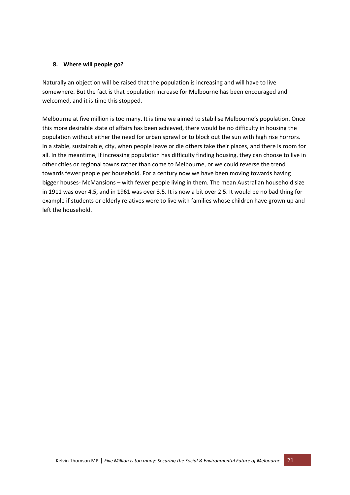#### **8. Where will people go?**

Naturally an objection will be raised that the population is increasing and will have to live somewhere. But the fact is that population increase for Melbourne has been encouraged and welcomed, and it is time this stopped.

Melbourne at five million is too many. It is time we aimed to stabilise Melbourne's population. Once this more desirable state of affairs has been achieved, there would be no difficulty in housing the population without either the need for urban sprawl or to block out the sun with high rise horrors. In a stable, sustainable, city, when people leave or die others take their places, and there is room for all. In the meantime, if increasing population has difficulty finding housing, they can choose to live in other cities or regional towns rather than come to Melbourne, or we could reverse the trend towards fewer people per household. For a century now we have been moving towards having bigger houses‐ McMansions – with fewer people living in them. The mean Australian household size in 1911 was over 4.5, and in 1961 was over 3.5. It is now a bit over 2.5. It would be no bad thing for example if students or elderly relatives were to live with families whose children have grown up and left the household.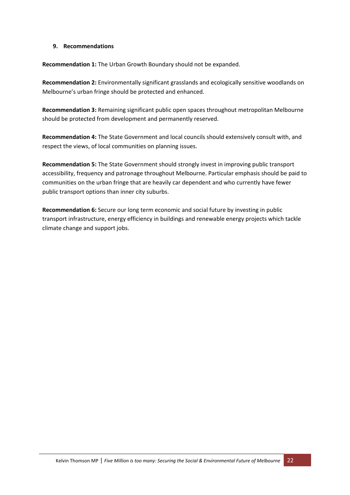#### **9. Recommendations**

**Recommendation 1:** The Urban Growth Boundary should not be expanded.

**Recommendation 2:** Environmentally significant grasslands and ecologically sensitive woodlands on Melbourne's urban fringe should be protected and enhanced.

**Recommendation 3:** Remaining significant public open spaces throughout metropolitan Melbourne should be protected from development and permanently reserved.

**Recommendation 4:** The State Government and local councils should extensively consult with, and respect the views, of local communities on planning issues.

**Recommendation 5:** The State Government should strongly invest in improving public transport accessibility, frequency and patronage throughout Melbourne. Particular emphasis should be paid to communities on the urban fringe that are heavily car dependent and who currently have fewer public transport options than inner city suburbs.

**Recommendation 6:** Secure our long term economic and social future by investing in public transport infrastructure, energy efficiency in buildings and renewable energy projects which tackle climate change and support jobs.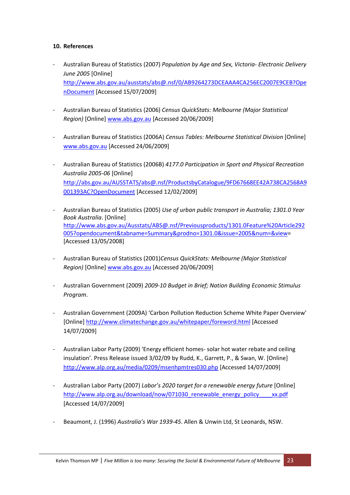#### **10. References**

- ‐ Australian Bureau of Statistics (2007) *Population by Age and Sex, Victoria‐ Electronic Delivery June 2005* [Online] http://www.abs.gov.au/ausstats/abs@.nsf/0/AB9264273DCEAAA4CA256EC2007E9CEB?Ope nDocument [Accessed 15/07/2009]
- ‐ Australian Bureau of Statistics (2006) *Census QuickStats: Melbourne (Major Statistical Region)* [Online] www.abs.gov.au [Accessed 20/06/2009]
- ‐ Australian Bureau of Statistics (2006A) *Census Tables: Melbourne Statistical Division* [Online] www.abs.gov.au [Accessed 24/06/2009]
- ‐ Australian Bureau of Statistics (2006B) *4177.0 Participation in Sport and Physical Recreation Australia 2005‐06* [Online] http://abs.gov.au/AUSSTATS/abs@.nsf/ProductsbyCatalogue/9FD67668EE42A738CA2568A9 001393AC?OpenDocument [Accessed 12/02/2009]
- ‐ Australian Bureau of Statistics (2005) *Use of urban public transport in Australia; 1301.0 Year Book Australia*. [Online] http://www.abs.gov.au/Ausstats/ABS@.nsf/Previousproducts/1301.0Feature%20Article292 005?opendocument&tabname=Summary&prodno=1301.0&issue=2005&num=&view= [Accessed 13/05/2008]
- ‐ Australian Bureau of Statistics (2001)*Census QuickStats: Melbourne (Major Statistical Region)* [Online] www.abs.gov.au [Accessed 20/06/2009]
- ‐ Australian Government (2009) *2009‐10 Budget in Brief; Nation Building Economic Stimulus Program*.
- ‐ Australian Government (2009A) 'Carbon Pollution Reduction Scheme White Paper Overview' [Online] http://www.climatechange.gov.au/whitepaper/foreword.html [Accessed 14/07/2009]
- ‐ Australian Labor Party (2009) 'Energy efficient homes‐ solar hot water rebate and ceiling insulation'. Press Release issued 3/02/09 by Rudd, K., Garrett, P., & Swan, W. [Online] http://www.alp.org.au/media/0209/msenhpmtres030.php [Accessed 14/07/2009]
- ‐ Australian Labor Party (2007) *Labor's 2020 target for a renewable energy future* [Online] http://www.alp.org.au/download/now/071030\_renewable\_energy\_policy\_\_\_\_\_xx.pdf [Accessed 14/07/2009]
- ‐ Beaumont, J. (1996) *Australia's War 1939‐45*. Allen & Unwin Ltd, St Leonards, NSW.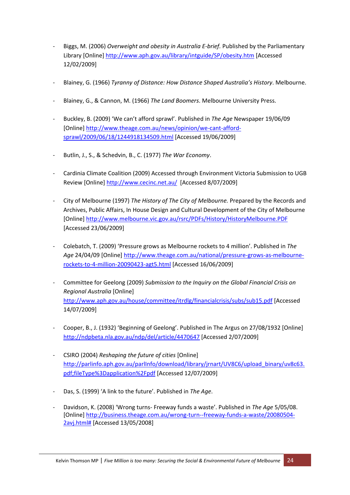- ‐ Biggs, M. (2006) *Overweight and obesity in Australia E‐brief.* Published by the Parliamentary Library [Online] http://www.aph.gov.au/library/intguide/SP/obesity.htm [Accessed 12/02/2009]
- ‐ Blainey, G. (1966) *Tyranny of Distance: How Distance Shaped Australia's History*. Melbourne.
- ‐ Blainey, G., & Cannon, M. (1966) *The Land Boomers*. Melbourne University Press.
- ‐ Buckley, B. (2009) 'We can't afford sprawl'. Published in *The Age* Newspaper 19/06/09 [Online] http://www.theage.com.au/news/opinion/we-cant-affordsprawl/2009/06/18/1244918134509.html [Accessed 19/06/2009]
- ‐ Butlin, J., S., & Schedvin, B., C. (1977) *The War Economy*.
- ‐ Cardinia Climate Coalition (2009) Accessed through Environment Victoria Submission to UGB Review [Online] http://www.cecinc.net.au/ [Accessed 8/07/2009]
- ‐ City of Melbourne (1997) *The History of The City of Melbourne.* Prepared by the Records and Archives, Public Affairs, In House Design and Cultural Development of the City of Melbourne [Online] http://www.melbourne.vic.gov.au/rsrc/PDFs/History/HistoryMelbourne.PDF [Accessed 23/06/2009]
- ‐ Colebatch, T. (2009) 'Pressure grows as Melbourne rockets to 4 million'. Published in *The Age* 24/04/09 [Online] http://www.theage.com.au/national/pressure‐grows‐as‐melbourne‐ rockets‐to‐4‐million‐20090423‐agt5.html [Accessed 16/06/2009]
- ‐ Committee for Geelong (2009) *Submission to the Inquiry on the Global Financial Crisis on Regional Australia* [Online] http://www.aph.gov.au/house/committee/itrdlg/financialcrisis/subs/sub15.pdf [Accessed 14/07/2009]
- ‐ Cooper, B., J. (1932) 'Beginning of Geelong'. Published in The Argus on 27/08/1932 [Online] http://ndpbeta.nla.gov.au/ndp/del/article/4470647 [Accessed 2/07/2009]
- ‐ CSIRO (2004) *Reshaping the future of cities* [Online] http://parlinfo.aph.gov.au/parlInfo/download/library/jrnart/UV8C6/upload\_binary/uv8c63. pdf;fileType%3Dapplication%2Fpdf [Accessed 12/07/2009]
- ‐ Das, S. (1999) 'A link to the future'. Published in *The Age*.
- ‐ Davidson, K. (2008) 'Wrong turns‐ Freeway funds a waste'. Published in *The Age* 5/05/08. [Online] http://business.theage.com.au/wrong‐turn‐‐freeway‐funds‐a‐waste/20080504‐ 2avj.html# [Accessed 13/05/2008]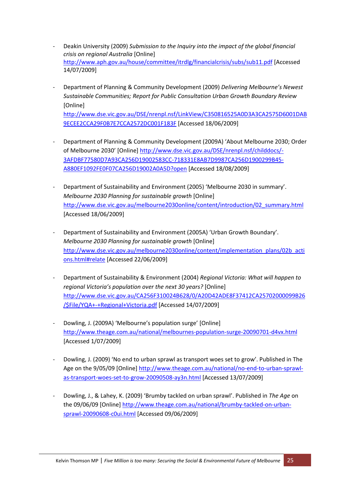- ‐ Deakin University (2009) *Submission to the Inquiry into the impact of the global financial crisis on regional Australia* [Online] http://www.aph.gov.au/house/committee/itrdlg/financialcrisis/subs/sub11.pdf [Accessed 14/07/2009]
- ‐ Department of Planning & Community Development (2009) *Delivering Melbourne's Newest Sustainable Communities; Report for Public Consultation Urban Growth Boundary Review* [Online] http://www.dse.vic.gov.au/DSE/nrenpl.nsf/LinkView/C350816525A0D3A3CA2575D6001DAB 9ECEE2CCA29F0B7E7CCA2572DC001F183F [Accessed 18/06/2009]
- ‐ Department of Planning & Community Development (2009A) 'About Melbourne 2030; Order of Melbourne 2030' [Online] http://www.dse.vic.gov.au/DSE/nrenpl.nsf/childdocs/‐ 3AFDBF77580D7A93CA256D19002583CC‐718331E8AB7D9987CA256D1900299B45‐ A880EF1092FE0F07CA256D19002A0A5D?open [Accessed 18/08/2009]
- ‐ Department of Sustainability and Environment (2005) 'Melbourne 2030 in summary'. *Melbourne 2030 Planning for sustainable growth* [Online] http://www.dse.vic.gov.au/melbourne2030online/content/introduction/02\_summary.html [Accessed 18/06/2009]
- ‐ Department of Sustainability and Environment (2005A) 'Urban Growth Boundary'. *Melbourne 2030 Planning for sustainable growth* [Online] http://www.dse.vic.gov.au/melbourne2030online/content/implementation\_plans/02b\_acti ons.html#relate [Accessed 22/06/2009]
- ‐ Department of Sustainability & Environment (2004) *Regional Victoria: What will happen to regional Victoria's population over the next 30 years?* [Online] http://www.dse.vic.gov.au/CA256F310024B628/0/A20D42ADE8F37412CA25702000099B26 /\$File/YQA+‐+Regional+Victoria.pdf [Accessed 14/07/2009]
- ‐ Dowling, J. (2009A) 'Melbourne's population surge' [Online] http://www.theage.com.au/national/melbournes‐population‐surge‐20090701‐d4vx.html [Accessed 1/07/2009]
- ‐ Dowling, J. (2009) 'No end to urban sprawl as transport woes set to grow'. Published in The Age on the 9/05/09 [Online] http://www.theage.com.au/national/no‐end‐to‐urban‐sprawl‐ as‐transport‐woes‐set‐to‐grow‐20090508‐ay3n.html [Accessed 13/07/2009]
- ‐ Dowling, J., & Lahey, K. (2009) 'Brumby tackled on urban sprawl'. Published in *The Age* on the 09/06/09 [Online] http://www.theage.com.au/national/brumby-tackled-on-urbansprawl‐20090608‐c0ui.html [Accessed 09/06/2009]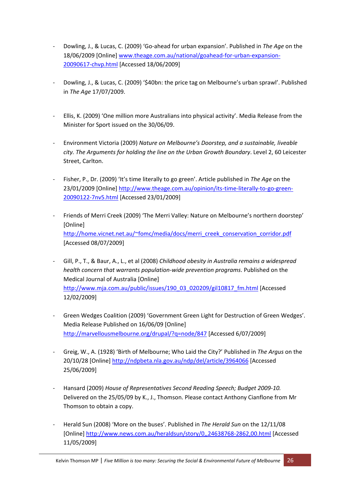- ‐ Dowling, J., & Lucas, C. (2009) 'Go‐ahead for urban expansion'. Published in *The Age* on the 18/06/2009 [Online] www.theage.com.au/national/goahead‐for‐urban‐expansion‐ 20090617‐chvp.html [Accessed 18/06/2009]
- ‐ Dowling, J., & Lucas, C. (2009) '\$40bn: the price tag on Melbourne's urban sprawl'. Published in *The Age* 17/07/2009.
- ‐ Ellis, K. (2009) 'One million more Australians into physical activity'. Media Release from the Minister for Sport issued on the 30/06/09.
- ‐ Environment Victoria (2009) *Nature on Melbourne's Doorstep, and a sustainable, liveable city. The Arguments for holding the line on the Urban Growth Boundary*. Level 2, 60 Leicester Street, Carlton.
- ‐ Fisher, P., Dr. (2009) 'It's time literally to go green'. Article published in *The Age* on the 23/01/2009 [Online] http://www.theage.com.au/opinion/its‐time‐literally‐to‐go‐green‐ 20090122‐7nv5.html [Accessed 23/01/2009]
- ‐ Friends of Merri Creek (2009) 'The Merri Valley: Nature on Melbourne's northern doorstep' [Online] http://home.vicnet.net.au/~fomc/media/docs/merri\_creek\_conservation\_corridor.pdf [Accessed 08/07/2009]
- ‐ Gill, P., T., & Baur, A., L., et al (2008) *Childhood obesity in Australia remains a widespread health concern that warrants population‐wide prevention programs*. Published on the Medical Journal of Australia [Online] http://www.mja.com.au/public/issues/190\_03\_020209/gil10817\_fm.html [Accessed 12/02/2009]
- ‐ Green Wedges Coalition (2009) 'Government Green Light for Destruction of Green Wedges'. Media Release Published on 16/06/09 [Online] http://marvellousmelbourne.org/drupal/?q=node/847 [Accessed 6/07/2009]
- ‐ Greig, W., A. (1928) 'Birth of Melbourne; Who Laid the City?' Published in *The Argus* on the 20/10/28 [Online] http://ndpbeta.nla.gov.au/ndp/del/article/3964066 [Accessed 25/06/2009]
- ‐ Hansard (2009) *House of Representatives Second Reading Speech; Budget 2009‐10.* Delivered on the 25/05/09 by K., J., Thomson. Please contact Anthony Cianflone from Mr Thomson to obtain a copy.
- ‐ Herald Sun (2008) 'More on the buses'. Published in *The Herald Sun* on the 12/11/08 [Online] http://www.news.com.au/heraldsun/story/0,,24638768‐2862,00.html [Accessed 11/05/2009]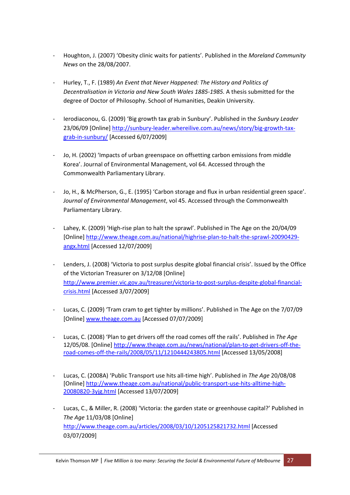- ‐ Houghton, J. (2007) 'Obesity clinic waits for patients'. Published in the *Moreland Community News* on the 28/08/2007.
- ‐ Hurley, T., F. (1989) *An Event that Never Happened: The History and Politics of Decentralisation in Victoria and New South Wales 1885‐1985.* A thesis submitted for the degree of Doctor of Philosophy. School of Humanities, Deakin University.
- ‐ Ierodiaconou, G. (2009) 'Big growth tax grab in Sunbury'. Published in the *Sunbury Leader* 23/06/09 [Online] http://sunbury-leader.whereilive.com.au/news/story/big-growth-taxgrab‐in‐sunbury/ [Accessed 6/07/2009]
- Jo, H. (2002) 'Impacts of urban greenspace on offsetting carbon emissions from middle Korea'. Journal of Environmental Management, vol 64. Accessed through the Commonwealth Parliamentary Library.
- ‐ Jo, H., & McPherson, G., E. (1995) 'Carbon storage and flux in urban residential green space'. *Journal of Environmental Management*, vol 45. Accessed through the Commonwealth Parliamentary Library.
- ‐ Lahey, K. (2009) 'High‐rise plan to halt the sprawl'. Published in The Age on the 20/04/09 [Online] http://www.theage.com.au/national/highrise‐plan‐to‐halt‐the‐sprawl‐20090429‐ angx.html [Accessed 12/07/2009]
- ‐ Lenders, J. (2008) 'Victoria to post surplus despite global financial crisis'. Issued by the Office of the Victorian Treasurer on 3/12/08 [Online] http://www.premier.vic.gov.au/treasurer/victoria‐to‐post‐surplus‐despite‐global‐financial‐ crisis.html [Accessed 3/07/2009]
- ‐ Lucas, C. (2009) 'Tram cram to get tighter by millions'. Published in The Age on the 7/07/09 [Online] www.theage.com.au [Accessed 07/07/2009]
- ‐ Lucas, C. (2008) 'Plan to get drivers off the road comes off the rails'. Published in *The Age* 12/05/08. [Online] http://www.theage.com.au/news/national/plan‐to‐get‐drivers‐off‐the‐ road‐comes‐off‐the‐rails/2008/05/11/1210444243805.html [Accessed 13/05/2008]
- ‐ Lucas, C. (2008A) 'Public Transport use hits all‐time high'. Published in *The Age* 20/08/08 [Online] http://www.theage.com.au/national/public-transport-use-hits-alltime-high-20080820‐3yjg.html [Accessed 13/07/2009]
- ‐ Lucas, C., & Miller, R. (2008) 'Victoria: the garden state or greenhouse capital?' Published in *The Age* 11/03/08 [Online] http://www.theage.com.au/articles/2008/03/10/1205125821732.html [Accessed 03/07/2009]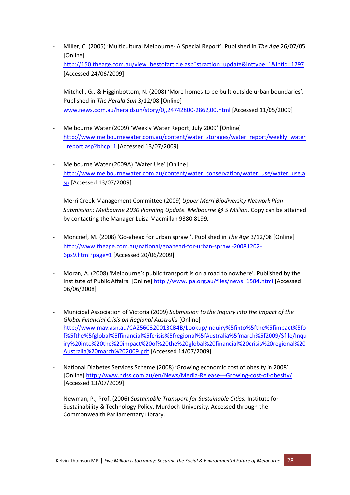- ‐ Miller, C. (2005) 'Multicultural Melbourne‐ A Special Report'. Published in *The Age* 26/07/05 [Online] http://150.theage.com.au/view\_bestofarticle.asp?straction=update&inttype=1&intid=1797 [Accessed 24/06/2009]
- ‐ Mitchell, G., & Higginbottom, N. (2008) 'More homes to be built outside urban boundaries'. Published in *The Herald Sun* 3/12/08 [Online] www.news.com.au/heraldsun/story/0,,24742800‐2862,00.html [Accessed 11/05/2009]
- ‐ Melbourne Water (2009) 'Weekly Water Report; July 2009' [Online] http://www.melbournewater.com.au/content/water\_storages/water\_report/weekly\_water \_report.asp?bhcp=1 [Accessed 13/07/2009]
- ‐ Melbourne Water (2009A) 'Water Use' [Online] http://www.melbournewater.com.au/content/water\_conservation/water\_use/water\_use.a sp [Accessed 13/07/2009]
- ‐ Merri Creek Management Committee (2009) *Upper Merri Biodiversity Network Plan Submission: Melbourne 2030 Planning Update. Melbourne @ 5 Million.* Copy can be attained by contacting the Manager Luisa Macmillan 9380 8199.
- ‐ Moncrief, M. (2008) 'Go‐ahead for urban sprawl'. Published in *The Age* 3/12/08 [Online] http://www.theage.com.au/national/goahead-for-urban-sprawl-20081202-6ps9.html?page=1 [Accessed 20/06/2009]
- ‐ Moran, A. (2008) 'Melbourne's public transport is on a road to nowhere'. Published by the Institute of Public Affairs. [Online] http://www.ipa.org.au/files/news\_1584.html [Accessed 06/06/2008]
- ‐ Municipal Association of Victoria (2009) *Submission to the Inquiry into the Impact of the Global Financial Crisis on Regional Australia* [Online] http://www.mav.asn.au/CA256C320013CB4B/Lookup/Inquiry%5finto%5fthe%5fimpact%5fo f%5fthe%5fglobal%5ffinancial%5fcrisis%5fregional%5fAustralia%5fmarch%5f2009/\$file/Inqu iry%20into%20the%20impact%20of%20the%20global%20financial%20crisis%20regional%20 Australia%20march%202009.pdf [Accessed 14/07/2009]
- ‐ National Diabetes Services Scheme (2008) 'Growing economic cost of obesity in 2008' [Online] http://www.ndss.com.au/en/News/Media-Release---Growing-cost-of-obesity/ [Accessed 13/07/2009]
- ‐ Newman, P., Prof. (2006) *Sustainable Transport for Sustainable Cities.* Institute for Sustainability & Technology Policy, Murdoch University. Accessed through the Commonwealth Parliamentary Library.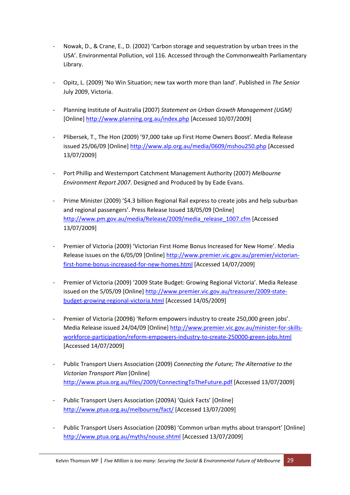- ‐ Nowak, D., & Crane, E., D. (2002) 'Carbon storage and sequestration by urban trees in the USA'. Environmental Pollution, vol 116. Accessed through the Commonwealth Parliamentary Library.
- ‐ Opitz, L. (2009) 'No Win Situation; new tax worth more than land'. Published in *The Senior* July 2009, Victoria.
- ‐ Planning Institute of Australia (2007) *Statement on Urban Growth Management (UGM)* [Online] http://www.planning.org.au/index.php [Accessed 10/07/2009]
- ‐ Plibersek, T., The Hon (2009) '97,000 take up First Home Owners Boost'. Media Release issued 25/06/09 [Online] http://www.alp.org.au/media/0609/mshou250.php [Accessed 13/07/2009]
- ‐ Port Phillip and Westernport Catchment Management Authority (2007) *Melbourne Environment Report 2007*. Designed and Produced by by Eade Evans.
- ‐ Prime Minister (2009) '\$4.3 billion Regional Rail express to create jobs and help suburban and regional passengers'. Press Release Issued 18/05/09 [Online] http://www.pm.gov.au/media/Release/2009/media\_release\_1007.cfm [Accessed 13/07/2009]
- ‐ Premier of Victoria (2009) 'Victorian First Home Bonus Increased for New Home'. Media Release issues on the 6/05/09 [Online] http://www.premier.vic.gov.au/premier/victorian‐ first‐home‐bonus‐increased‐for‐new‐homes.html [Accessed 14/07/2009]
- ‐ Premier of Victoria (2009) '2009 State Budget: Growing Regional Victoria'. Media Release issued on the 5/05/09 [Online] http://www.premier.vic.gov.au/treasurer/2009-statebudget‐growing‐regional‐victoria.html [Accessed 14/05/2009]
- ‐ Premier of Victoria (2009B) 'Reform empowers industry to create 250,000 green jobs'. Media Release issued 24/04/09 [Online] http://www.premier.vic.gov.au/minister-for-skillsworkforce-participation/reform-empowers-industry-to-create-250000-green-jobs.html [Accessed 14/07/2009]
- ‐ Public Transport Users Association (2009) *Connecting the Future; The Alternative to the Victorian Transport Plan* [Online] http://www.ptua.org.au/files/2009/ConnectingToTheFuture.pdf [Accessed 13/07/2009]
- ‐ Public Transport Users Association (2009A) 'Quick Facts' [Online] http://www.ptua.org.au/melbourne/fact/ [Accessed 13/07/2009]
- ‐ Public Transport Users Association (2009B) 'Common urban myths about transport' [Online] http://www.ptua.org.au/myths/nouse.shtml [Accessed 13/07/2009]